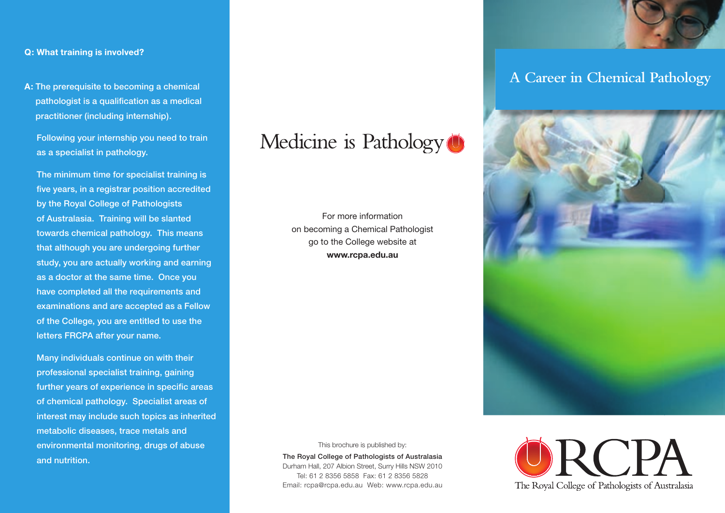### **Q: What training is involved?**

**A:** The prerequisite to becoming a chemical pathologist is a qualification as a medical practitioner (including internship).

 Following your internship you need to train as a specialist in pathology.

 The minimum time for specialist training is five years, in a registrar position accredited by the Royal College of Pathologists of Australasia. Training will be slanted towards chemical pathology. This means that although you are undergoing further study, you are actually working and earning as a doctor at the same time. Once you have completed all the requirements and examinations and are accepted as a Fellow of the College, you are entitled to use the letters FRCPA after your name.

 Many individuals continue on with their professional specialist training, gaining further years of experience in specific areas of chemical pathology. Specialist areas of interest may include such topics as inherited metabolic diseases, trace metals and environmental monitoring, drugs of abuse and nutrition.

## Medicine is Pathology<sup>(1)</sup>

For more information on becoming a Chemical Pathologist go to the College website at **www.rcpa.edu.au**



The Royal College of Pathologists of Australasia Durham Hall, 207 Albion Street, Surry Hills NSW 2010 Tel: 61 2 8356 5858 Fax: 61 2 8356 5828 Email: rcpa@rcpa.edu.au Web: www.rcpa.edu.au





### **A Career in Chemical Pathology**